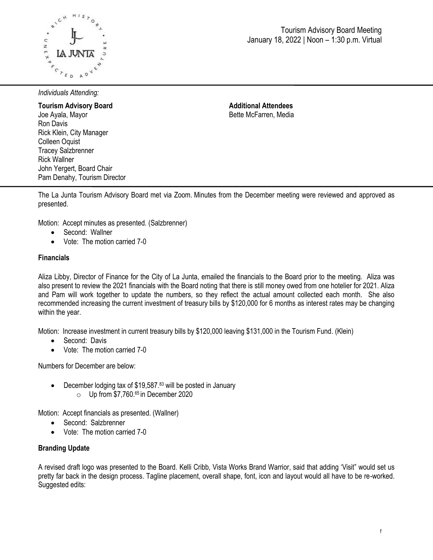

# Tourism Advisory Board Meeting January 18, 2022 | Noon – 1:30 p.m. Virtual

*Individuals Attending:*

**Tourism Advisory Board**  Joe Ayala, Mayor Ron Davis Rick Klein, City Manager Colleen Oquist Tracey Salzbrenner Rick Wallner John Yergert, Board Chair Pam Denahy, Tourism Director **Additional Attendees** Bette McFarren, Media

The La Junta Tourism Advisory Board met via Zoom. Minutes from the December meeting were reviewed and approved as presented.

Motion: Accept minutes as presented. (Salzbrenner)

- Second: Wallner
- Vote: The motion carried 7-0

#### **Financials**

Aliza Libby, Director of Finance for the City of La Junta, emailed the financials to the Board prior to the meeting. Aliza was also present to review the 2021 financials with the Board noting that there is still money owed from one hotelier for 2021. Aliza and Pam will work together to update the numbers, so they reflect the actual amount collected each month. She also recommended increasing the current investment of treasury bills by \$120,000 for 6 months as interest rates may be changing within the year.

Motion: Increase investment in current treasury bills by \$120,000 leaving \$131,000 in the Tourism Fund. (Klein)

- Second: Davis
- Vote: The motion carried 7-0

Numbers for December are below:

- $\bullet$  December lodging tax of \$19,587.<sup>83</sup> will be posted in January  $\circ$  Up from \$7,760.65 in December 2020
- 

Motion: Accept financials as presented. (Wallner)

- Second: Salzbrenner
- Vote: The motion carried 7-0

### **Branding Update**

A revised draft logo was presented to the Board. Kelli Cribb, Vista Works Brand Warrior, said that adding 'Visit" would set us pretty far back in the design process. Tagline placement, overall shape, font, icon and layout would all have to be re-worked. Suggested edits: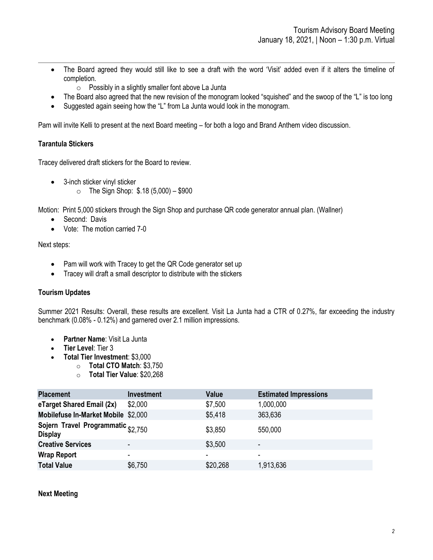- The Board agreed they would still like to see a draft with the word 'Visit' added even if it alters the timeline of completion.
	- $\circ$  Possibly in a slightly smaller font above La Junta
- The Board also agreed that the new revision of the monogram looked "squished" and the swoop of the "L" is too long
- Suggested again seeing how the "L" from La Junta would look in the monogram.

Pam will invite Kelli to present at the next Board meeting – for both a logo and Brand Anthem video discussion.

# **Tarantula Stickers**

Tracey delivered draft stickers for the Board to review.

- 3-inch sticker vinyl sticker
	- $\circ$  The Sign Shop: \$.18 (5,000) \$900

Motion: Print 5,000 stickers through the Sign Shop and purchase QR code generator annual plan. (Wallner)

- Second: Davis
- Vote: The motion carried 7-0

Next steps:

- Pam will work with Tracey to get the QR Code generator set up
- Tracey will draft a small descriptor to distribute with the stickers

## **Tourism Updates**

Summer 2021 Results: Overall, these results are excellent. Visit La Junta had a CTR of 0.27%, far exceeding the industry benchmark (0.08% - 0.12%) and garnered over 2.1 million impressions.

- **Partner Name**: Visit La Junta
- **Tier Level**: Tier 3
	- **Total Tier Investment**: \$3,000
		- o **Total CTO Match**: \$3,750
			- o **Total Tier Value**: \$20,268

| <b>Placement</b>                                     | Investment               | <b>Value</b> | <b>Estimated Impressions</b> |
|------------------------------------------------------|--------------------------|--------------|------------------------------|
| eTarget Shared Email (2x)                            | \$2,000                  | \$7,500      | 1,000,000                    |
| Mobilefuse In-Market Mobile \$2,000                  |                          | \$5,418      | 363,636                      |
| Sojern Travel Programmatic \$2,750<br><b>Display</b> |                          | \$3,850      | 550,000                      |
| <b>Creative Services</b>                             | $\overline{\phantom{a}}$ | \$3,500      | $\overline{\phantom{a}}$     |
| <b>Wrap Report</b>                                   | ۰                        |              | ۰                            |
| <b>Total Value</b>                                   | \$6,750                  | \$20,268     | 1,913,636                    |

### **Next Meeting**